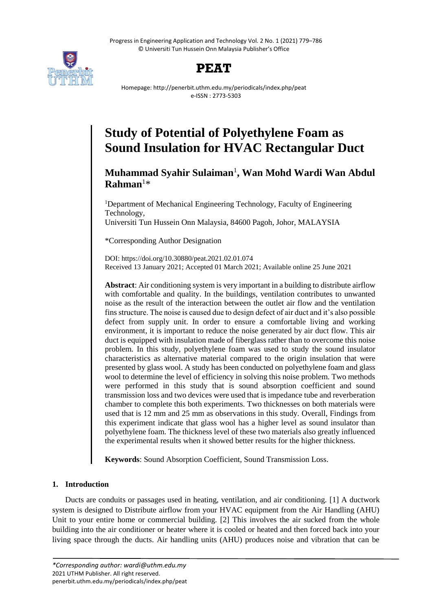Progress in Engineering Application and Technology Vol. 2 No. 1 (2021) 779–786 © Universiti Tun Hussein Onn Malaysia Publisher's Office





Homepage: http://penerbit.uthm.edu.my/periodicals/index.php/peat e-ISSN : 2773-5303

# **Study of Potential of Polyethylene Foam as Sound Insulation for HVAC Rectangular Duct**

# **Muhammad Syahir Sulaiman**<sup>1</sup> **, Wan Mohd Wardi Wan Abdul Rahman**<sup>1</sup>\*

<sup>1</sup>Department of Mechanical Engineering Technology, Faculty of Engineering Technology, Universiti Tun Hussein Onn Malaysia, 84600 Pagoh, Johor, MALAYSIA

\*Corresponding Author Designation

DOI: https://doi.org/10.30880/peat.2021.02.01.074 Received 13 January 2021; Accepted 01 March 2021; Available online 25 June 2021

**Abstract**: Air conditioning system is very important in a building to distribute airflow with comfortable and quality. In the buildings, ventilation contributes to unwanted noise as the result of the interaction between the outlet air flow and the ventilation finsstructure. The noise is caused due to design defect of air duct and it's also possible defect from supply unit. In order to ensure a comfortable living and working environment, it is important to reduce the noise generated by air duct flow. This air duct is equipped with insulation made of fiberglass rather than to overcome this noise problem. In this study, polyethylene foam was used to study the sound insulator characteristics as alternative material compared to the origin insulation that were presented by glass wool. A study has been conducted on polyethylene foam and glass wool to determine the level of efficiency in solving this noise problem. Two methods were performed in this study that is sound absorption coefficient and sound transmission loss and two devices were used that is impedance tube and reverberation chamber to complete this both experiments. Two thicknesses on both materials were used that is 12 mm and 25 mm as observations in this study. Overall, Findings from this experiment indicate that glass wool has a higher level as sound insulator than polyethylene foam. The thickness level of these two materials also greatly influenced the experimental results when it showed better results for the higher thickness.

**Keywords**: Sound Absorption Coefficient, Sound Transmission Loss.

## **1. Introduction**

Ducts are conduits or passages used in heating, ventilation, and air conditioning. [1] A ductwork system is designed to Distribute airflow from your HVAC equipment from the Air Handling (AHU) Unit to your entire home or commercial building. [2] This involves the air sucked from the whole building into the air conditioner or heater where it is cooled or heated and then forced back into your living space through the ducts. Air handling units (AHU) produces noise and vibration that can be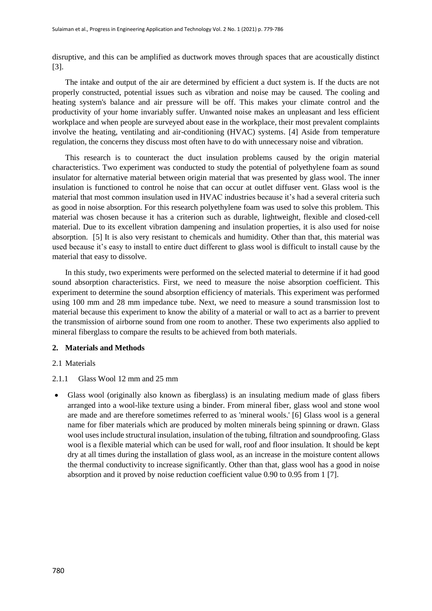disruptive, and this can be amplified as ductwork moves through spaces that are acoustically distinct [3].

The intake and output of the air are determined by efficient a duct system is. If the ducts are not properly constructed, potential issues such as vibration and noise may be caused. The cooling and heating system's balance and air pressure will be off. This makes your climate control and the productivity of your home invariably suffer. Unwanted noise makes an unpleasant and less efficient workplace and when people are surveyed about ease in the workplace, their most prevalent complaints involve the heating, ventilating and air-conditioning (HVAC) systems. [4] Aside from temperature regulation, the concerns they discuss most often have to do with unnecessary noise and vibration.

This research is to counteract the duct insulation problems caused by the origin material characteristics. Two experiment was conducted to study the potential of polyethylene foam as sound insulator for alternative material between origin material that was presented by glass wool. The inner insulation is functioned to control he noise that can occur at outlet diffuser vent. Glass wool is the material that most common insulation used in HVAC industries because it's had a several criteria such as good in noise absorption. For this research polyethylene foam was used to solve this problem. This material was chosen because it has a criterion such as durable, lightweight, flexible and closed-cell material. Due to its excellent vibration dampening and insulation properties, it is also used for noise absorption. [5] It is also very resistant to chemicals and humidity. Other than that, this material was used because it's easy to install to entire duct different to glass wool is difficult to install cause by the material that easy to dissolve.

In this study, two experiments were performed on the selected material to determine if it had good sound absorption characteristics. First, we need to measure the noise absorption coefficient. This experiment to determine the sound absorption efficiency of materials. This experiment was performed using 100 mm and 28 mm impedance tube. Next, we need to measure a sound transmission lost to material because this experiment to know the ability of a material or wall to act as a barrier to prevent the transmission of airborne sound from one room to another. These two experiments also applied to mineral fiberglass to compare the results to be achieved from both materials.

#### **2. Materials and Methods**

#### 2.1 Materials

- 2.1.1 Glass Wool 12 mm and 25 mm
- Glass wool (originally also known as fiberglass) is an insulating medium made of glass fibers arranged into a wool-like texture using a binder. From mineral fiber, glass wool and stone wool are made and are therefore sometimes referred to as 'mineral wools.' [6] Glass wool is a general name for fiber materials which are produced by molten minerals being spinning or drawn. Glass wool uses include structural insulation, insulation of the tubing, filtration and soundproofing. Glass wool is a flexible material which can be used for wall, roof and floor insulation. It should be kept dry at all times during the installation of glass wool, as an increase in the moisture content allows the thermal conductivity to increase significantly. Other than that, glass wool has a good in noise absorption and it proved by noise reduction coefficient value 0.90 to 0.95 from 1 [7].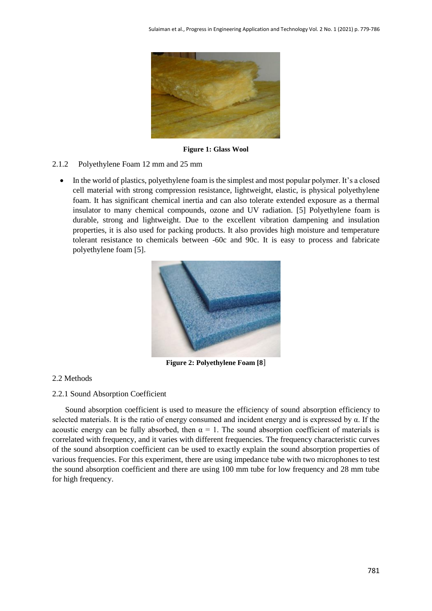

**Figure 1: Glass Wool**

- 2.1.2 Polyethylene Foam 12 mm and 25 mm
	- In the world of plastics, polyethylene foam is the simplest and most popular polymer. It's a closed cell material with strong compression resistance, lightweight, elastic, is physical polyethylene foam. It has significant chemical inertia and can also tolerate extended exposure as a thermal insulator to many chemical compounds, ozone and UV radiation. [5] Polyethylene foam is durable, strong and lightweight. Due to the excellent vibration dampening and insulation properties, it is also used for packing products. It also provides high moisture and temperature tolerant resistance to chemicals between -60c and 90c. It is easy to process and fabricate polyethylene foam [5].



**Figure 2: Polyethylene Foam [8**]

#### 2.2 Methods

#### 2.2.1 Sound Absorption Coefficient

Sound absorption coefficient is used to measure the efficiency of sound absorption efficiency to selected materials. It is the ratio of energy consumed and incident energy and is expressed by  $\alpha$ . If the acoustic energy can be fully absorbed, then  $\alpha = 1$ . The sound absorption coefficient of materials is correlated with frequency, and it varies with different frequencies. The frequency characteristic curves of the sound absorption coefficient can be used to exactly explain the sound absorption properties of various frequencies. For this experiment, there are using impedance tube with two microphones to test the sound absorption coefficient and there are using 100 mm tube for low frequency and 28 mm tube for high frequency.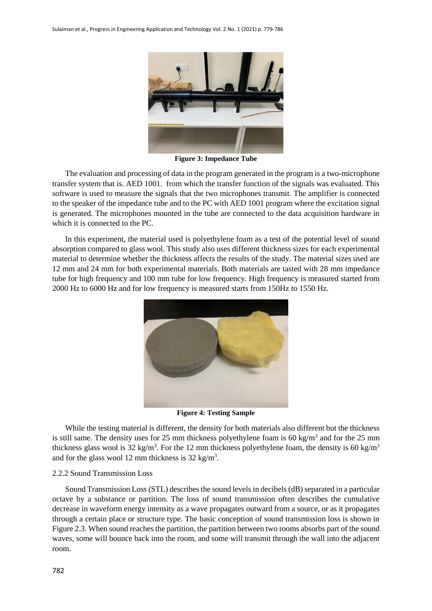

**Figure 3: Impedance Tube**

The evaluation and processing of data in the program generated in the program is a two-microphone transfer system that is. AED 1001. from which the transfer function of the signals was evaluated. This software is used to measure the signals that the two microphones transmit. The amplifier is connected to the speaker of the impedance tube and to the PC with AED 1001 program where the excitation signal is generated. The microphones mounted in the tube are connected to the data acquisition hardware in which it is connected to the PC.

In this experiment, the material used is polyethylene foam as a test of the potential level of sound absorption compared to glass wool. This study also uses different thickness sizes for each experimental material to determine whether the thickness affects the results of the study. The material sizes used are 12 mm and 24 mm for both experimental materials. Both materials are tasted with 28 mm impedance tube for high frequency and 100 mm tube for low frequency. High frequency is measured started from 2000 Hz to 6000 Hz and for low frequency is measured starts from 150Hz to 1550 Hz.



**Figure 4: Testing Sample**

While the testing material is different, the density for both materials also different but the thickness is still same. The density uses for 25 mm thickness polyethylene foam is  $60 \text{ kg/m}^3$  and for the 25 mm thickness glass wool is 32 kg/m<sup>3</sup>. For the 12 mm thickness polyethylene foam, the density is 60 kg/m<sup>3</sup> and for the glass wool 12 mm thickness is  $32 \text{ kg/m}^3$ .

#### 2.2.2 Sound Transmission Loss

Sound Transmission Loss (STL) describes the sound levels in decibels (dB) separated in a particular octave by a substance or partition. The loss of sound transmission often describes the cumulative decrease in waveform energy intensity as a wave propagates outward from a source, or as it propagates through a certain place or structure type. The basic conception of sound transmission loss is shown in Figure 2.3. When sound reaches the partition, the partition between two rooms absorbs part of the sound waves, some will bounce back into the room, and some will transmit through the wall into the adjacent room.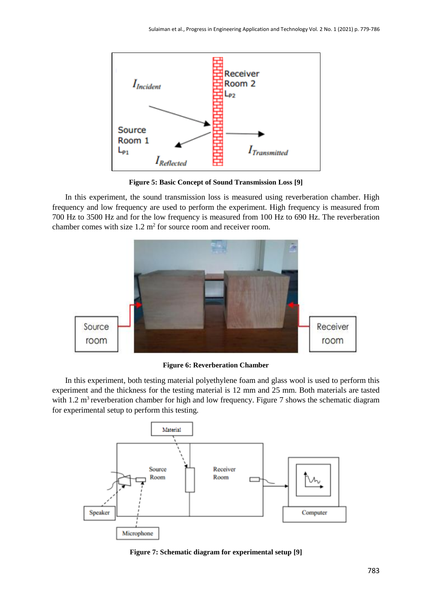

**Figure 5: Basic Concept of Sound Transmission Loss [9]**

In this experiment, the sound transmission loss is measured using reverberation chamber. High frequency and low frequency are used to perform the experiment. High frequency is measured from 700 Hz to 3500 Hz and for the low frequency is measured from 100 Hz to 690 Hz. The reverberation chamber comes with size  $1.2 \text{ m}^2$  for source room and receiver room.



**Figure 6: Reverberation Chamber**

In this experiment, both testing material polyethylene foam and glass wool is used to perform this experiment and the thickness for the testing material is 12 mm and 25 mm. Both materials are tasted with 1.2 m<sup>3</sup> reverberation chamber for high and low frequency. Figure 7 shows the schematic diagram for experimental setup to perform this testing.



**Figure 7: Schematic diagram for experimental setup [9]**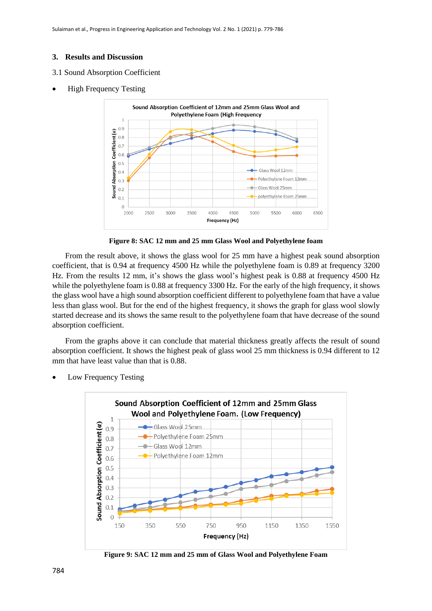### **3. Results and Discussion**

- 3.1 Sound Absorption Coefficient
- High Frequency Testing



**Figure 8: SAC 12 mm and 25 mm Glass Wool and Polyethylene foam**

From the result above, it shows the glass wool for 25 mm have a highest peak sound absorption coefficient, that is 0.94 at frequency 4500 Hz while the polyethylene foam is 0.89 at frequency 3200 Hz. From the results 12 mm, it's shows the glass wool's highest peak is 0.88 at frequency 4500 Hz while the polyethylene foam is 0.88 at frequency 3300 Hz. For the early of the high frequency, it shows the glass wool have a high sound absorption coefficient different to polyethylene foam that have a value less than glass wool. But for the end of the highest frequency, it shows the graph for glass wool slowly started decrease and its shows the same result to the polyethylene foam that have decrease of the sound absorption coefficient.

From the graphs above it can conclude that material thickness greatly affects the result of sound absorption coefficient. It shows the highest peak of glass wool 25 mm thickness is 0.94 different to 12 mm that have least value than that is  $0.88$ .

Low Frequency Testing



**Figure 9: SAC 12 mm and 25 mm of Glass Wool and Polyethylene Foam**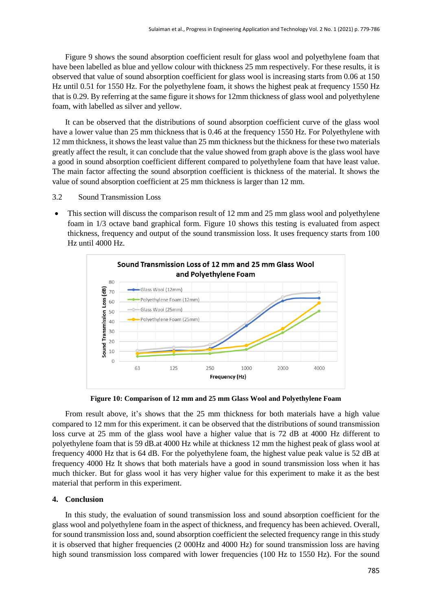Figure 9 shows the sound absorption coefficient result for glass wool and polyethylene foam that have been labelled as blue and yellow colour with thickness 25 mm respectively. For these results, it is observed that value of sound absorption coefficient for glass wool is increasing starts from 0.06 at 150 Hz until 0.51 for 1550 Hz. For the polyethylene foam, it shows the highest peak at frequency 1550 Hz that is 0.29. By referring at the same figure it shows for 12mm thickness of glass wool and polyethylene foam, with labelled as silver and yellow.

It can be observed that the distributions of sound absorption coefficient curve of the glass wool have a lower value than 25 mm thickness that is 0.46 at the frequency 1550 Hz. For Polyethylene with 12 mm thickness, it shows the least value than 25 mm thickness but the thickness for these two materials greatly affect the result, it can conclude that the value showed from graph above is the glass wool have a good in sound absorption coefficient different compared to polyethylene foam that have least value. The main factor affecting the sound absorption coefficient is thickness of the material. It shows the value of sound absorption coefficient at 25 mm thickness is larger than 12 mm.

- 3.2 Sound Transmission Loss
- This section will discuss the comparison result of 12 mm and 25 mm glass wool and polyethylene foam in 1/3 octave band graphical form. Figure 10 shows this testing is evaluated from aspect thickness, frequency and output of the sound transmission loss. It uses frequency starts from 100 Hz until 4000 Hz.



**Figure 10: Comparison of 12 mm and 25 mm Glass Wool and Polyethylene Foam**

From result above, it's shows that the 25 mm thickness for both materials have a high value compared to 12 mm for this experiment. it can be observed that the distributions of sound transmission loss curve at 25 mm of the glass wool have a higher value that is 72 dB at 4000 Hz different to polyethylene foam that is 59 dB.at 4000 Hz while at thickness 12 mm the highest peak of glass wool at frequency 4000 Hz that is 64 dB. For the polyethylene foam, the highest value peak value is 52 dB at frequency 4000 Hz It shows that both materials have a good in sound transmission loss when it has much thicker. But for glass wool it has very higher value for this experiment to make it as the best material that perform in this experiment.

#### **4. Conclusion**

In this study, the evaluation of sound transmission loss and sound absorption coefficient for the glass wool and polyethylene foam in the aspect of thickness, and frequency has been achieved. Overall, for sound transmission loss and, sound absorption coefficient the selected frequency range in this study it is observed that higher frequencies (2 000Hz and 4000 Hz) for sound transmission loss are having high sound transmission loss compared with lower frequencies (100 Hz to 1550 Hz). For the sound